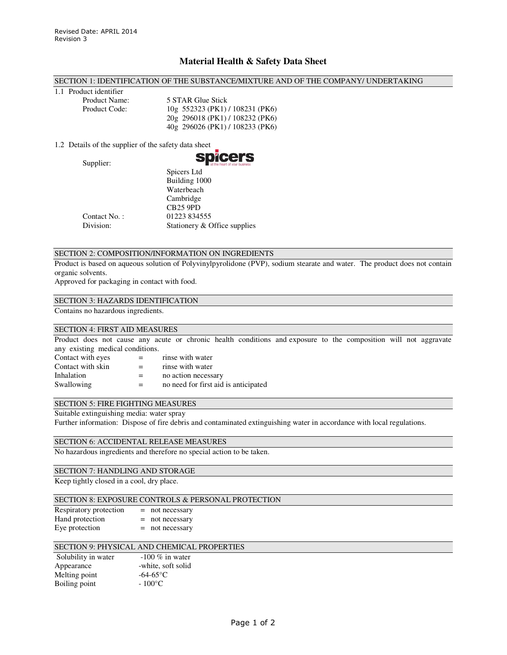# **Material Health & Safety Data Sheet**

### SECTION 1: IDENTIFICATION OF THE SUBSTANCE/MIXTURE AND OF THE COMPANY/ UNDERTAKING

1.1 Product identifier

Product Name: 5 STAR Glue Stick Product Code: 10g 552323 (PK1) / 108231 (PK6) 20g 296018 (PK1) / 108232 (PK6) 40g 296026 (PK1) / 108233 (PK6)

1.2 Details of the supplier of the safety data sheet

Supplier:



|              | Spicers Ltd<br>Building 1000 |
|--------------|------------------------------|
|              | Waterbeach                   |
|              | Cambridge                    |
|              | <b>CB25 9PD</b>              |
| Contact No.: | 01223 834555                 |
| Division:    | Stationery & Office supplies |

# SECTION 2: COMPOSITION/INFORMATION ON INGREDIENTS

Product is based on aqueous solution of Polyvinylpyrolidone (PVP), sodium stearate and water. The product does not contain organic solvents.

Approved for packaging in contact with food.

#### SECTION 3: HAZARDS IDENTIFICATION

Contains no hazardous ingredients.

### SECTION 4: FIRST AID MEASURES

Product does not cause any acute or chronic health conditions and exposure to the composition will not aggravate any existing medical conditions.

| $=$ | rinse with water                     |
|-----|--------------------------------------|
| $=$ | rinse with water                     |
| $=$ | no action necessary                  |
| $=$ | no need for first aid is anticipated |
|     |                                      |

#### SECTION 5: FIRE FIGHTING MEASURES

Suitable extinguishing media: water spray

Further information: Dispose of fire debris and contaminated extinguishing water in accordance with local regulations.

# SECTION 6: ACCIDENTAL RELEASE MEASURES

No hazardous ingredients and therefore no special action to be taken.

### SECTION 7: HANDLING AND STORAGE

Keep tightly closed in a cool, dry place.

## SECTION 8: EXPOSURE CONTROLS & PERSONAL PROTECTION

| Respiratory protection | $=$ not necessary |
|------------------------|-------------------|
| Hand protection        | $=$ not necessary |
| Eye protection         | $=$ not necessary |

# SECTION 9: PHYSICAL AND CHEMICAL PROPERTIES

| $-100\%$ in water  |
|--------------------|
| -white, soft solid |
| $-64-65$ °C        |
| $-100\degree$ C    |
|                    |